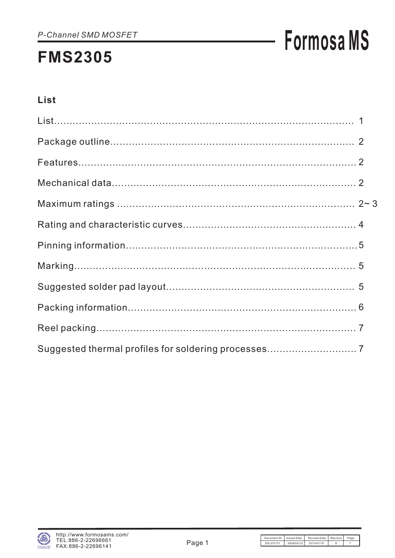# **Formosa MS**

### List

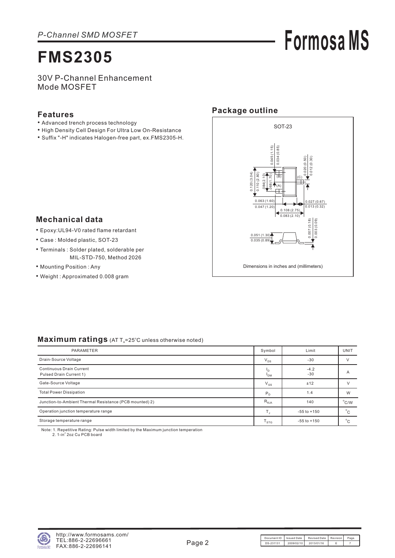**Formosa MS**

30V P-Channel Enhancement Mode MOSFET

#### **Features**

- Advanced trench process technology
- High Density Cell Design For Ultra Low On-Resistance
- Suffix "-H" indicates Halogen-free part, ex.FMS2305-H.

#### **Package outline**



#### **Mechanical data**

- Epoxy:UL94-V0 rated flame retardant •
- Case : Molded plastic, SOT-23
- Terminals : Solder plated, solderable per MIL-STD-750, Method 2026
- Mounting Position: Any
- Weight : Approximated 0.008 gram

#### Maximum ratings (AT T<sub>A</sub>=25°C unless otherwise noted)

| PARAMETER                                                  | Symbol                | Limit           | UNIT           |
|------------------------------------------------------------|-----------------------|-----------------|----------------|
| Drain-Source Voltage                                       | $V_{DS}$              | $-30$           |                |
| <b>Continuous Drain Current</b><br>Pulsed Drain Current 1) | 'n<br><sup>1</sup> DM | $-4.2$<br>$-30$ | A              |
| Gate-Source Voltage                                        | $V_{GS}$              | ±12             |                |
| <b>Total Power Dissipation</b>                             | P <sub>D</sub>        | 1.4             | W              |
| Junction-to-Ambient Thermal Resistance (PCB mounted) 2)    | $R_{\theta$ JA        | 140             | $^{\circ}$ C/W |
| Operation junction temperature range                       |                       | $-55$ to $+150$ | $^{\circ}$ C   |
| Storage temperature range                                  | $T_{STG}$             | $-55$ to $+150$ | $\circ$        |

Note: 1. Repetitive Rating: Pulse width limited by the Maximum junction temperation 2. 1-in<sup>2</sup> 2oz Cu PCB board

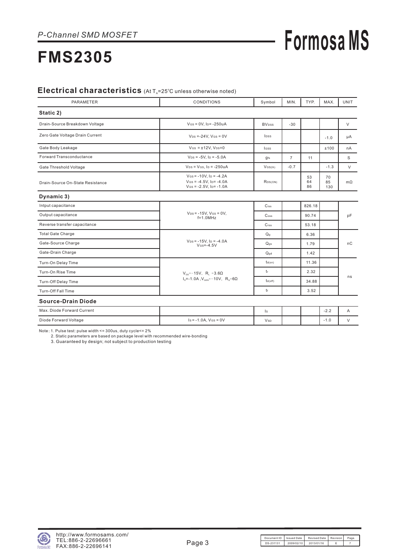## **Formosa MS**

## **FMS2305**

#### Electrical characteristics (At T<sub>A</sub>=25°C unless otherwise noted)

| <b>PARAMETER</b>                 | <b>CONDITIONS</b>                                                                      | Symbol                   | MIN.           | TYP.           | MAX.            | <b>UNIT</b> |
|----------------------------------|----------------------------------------------------------------------------------------|--------------------------|----------------|----------------|-----------------|-------------|
| Static 2)                        |                                                                                        |                          |                |                |                 |             |
| Drain-Source Breakdown Voltage   | $V$ Gs = 0V, Ip = -250uA                                                               | <b>BV</b> <sub>DSS</sub> | $-30$          |                |                 | V           |
| Zero Gate Voltage Drain Current  | $V_{DS} = -24V$ , $V_{GS} = 0V$                                                        | lpss                     |                |                | $-1.0$          | μA          |
| Gate Body Leakage                | $V$ Gs = $\pm$ 12V, $V$ Ds=0                                                           | lgss                     |                |                | ±100            | nA          |
| <b>Forward Transconductance</b>  | $V_{DS} = -5V$ , $I_D = -5.0A$                                                         | gfs                      | $\overline{7}$ | 11             |                 | S           |
| Gate Threshold Voltage           | $V_{DS} = V_{GS}$ , $I_D = -250uA$                                                     | $V$ GS(th)               | $-0.7$         |                | $-1.3$          | $\vee$      |
| Drain-Source On-State Resistance | $V$ Gs = -10V, $I_D$ = -4.2A<br>$V$ Gs = -4.5V, Ip= -4.0A<br>$V$ Gs = -2.5V, Ip= -1.0A | RDS(ON)                  |                | 53<br>64<br>86 | 70<br>85<br>130 | $m\Omega$   |
| Dynamic 3)                       |                                                                                        |                          |                |                |                 |             |
| Intput capacitance               |                                                                                        | $C$ <sub>iss</sub>       |                | 826.18         |                 |             |
| Output capacitance               | $V_{DS} = -15V$ , $V_{GS} = 0V$ ,<br>$f=1.0$ MHz                                       | $\mathsf{C}$ oss         |                | 90.74          |                 | pF          |
| Reverse transfer capacitance     |                                                                                        | $C$ rss                  |                | 53.18          |                 |             |
| <b>Total Gate Charge</b>         |                                                                                        | Q <sub>g</sub>           |                | 6.36           |                 |             |
| Gate-Source Charge               | $V_{DS} = -15V$ , $I_D = -4.0A$<br>$V$ Gs=-4.5V                                        | Q <sub>qs</sub>          |                | 1.79           |                 | nC          |
| Gate-Drain Charge                |                                                                                        | $Q_{qd}$                 |                | 1.42           |                 |             |
| Turn-On Delay Time               |                                                                                        | td(on)                   |                | 11.36          |                 |             |
| Turn-On Rise Time                | $V_{nn}$ =-15V, R <sub>L</sub> =3.6 $\Omega$                                           | tr                       |                | 2.32           |                 |             |
| Turn-Off Delay Time              | $I_0 = -1.0A$ , $V_{GEN} = -10V$ , $R_G = 6\Omega$                                     | $t_{d(off)}$             |                | 34.88          |                 | ns          |
| Turn-Off Fall Time               |                                                                                        | tr                       |                | 3.52           |                 |             |
| <b>Source-Drain Diode</b>        |                                                                                        |                          |                |                |                 |             |
| Max. Diode Forward Current       |                                                                                        | ls.                      |                |                | $-2.2$          | A           |
| Diode Forward Voltage            | $Is = -1.0A, V(s = 0V)$                                                                | <b>V<sub>SD</sub></b>    |                |                | $-1.0$          | $\vee$      |

Note: 1. Pulse test: pulse width <= 300us, duty cycle<= 2%

2. Static parameters are based on package level with recommended wire-bonding

3. Guaranteed by design; not subject to production testing

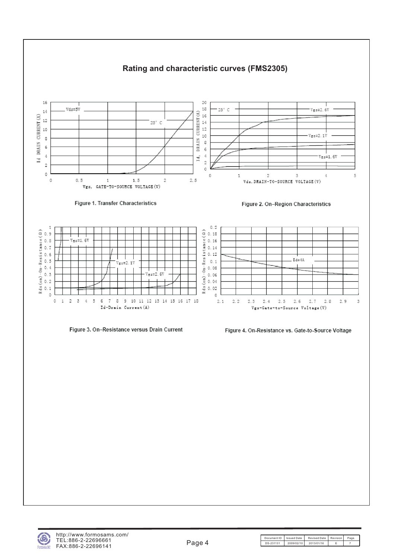

Figure 3. On-Resistance versus Drain Current



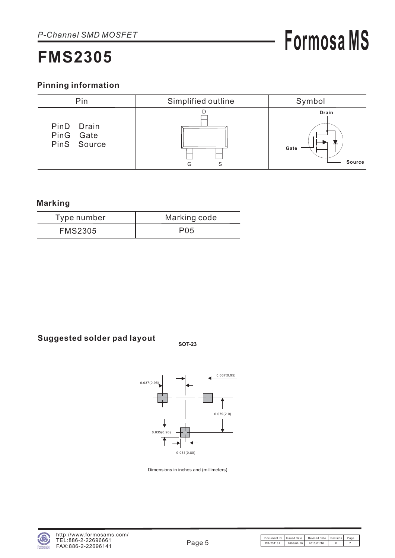#### **Pinning information**



#### **Marking**

| Type number    | Marking code    |
|----------------|-----------------|
| <b>FMS2305</b> | P <sub>05</sub> |

### **Suggested solder pad layout SOT-23**



Dimensions in inches and (millimeters)

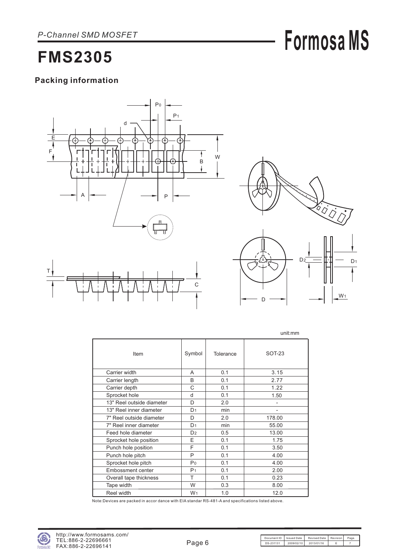## **Formosa MS**

### **FMS2305**

#### **Packing information**





W<sub>1</sub>

D

|                           |                |           | unit:mm        |
|---------------------------|----------------|-----------|----------------|
| Item                      | Symbol         | Tolerance | SOT-23         |
| Carrier width             | A              | 0.1       | 3.15           |
| Carrier length            | B              | 0.1       | 2.77           |
| Carrier depth             | C              | 0.1       | 1.22           |
| Sprocket hole             | d              | 0.1       | 1.50           |
| 13" Reel outside diameter | D              | 2.0       | $\overline{a}$ |
| 13" Reel inner diameter   | D <sub>1</sub> | min       | -              |
| 7" Reel outside diameter  | D              | 2.0       | 178.00         |
| 7" Reel inner diameter    | D <sub>1</sub> | min       | 55.00          |
| Feed hole diameter        | D <sub>2</sub> | 0.5       | 13.00          |
| Sprocket hole position    | E              | 0.1       | 1.75           |
| Punch hole position       | F              | 0.1       | 3.50           |
| Punch hole pitch          | P              | 0.1       | 4.00           |
| Sprocket hole pitch       | P <sub>0</sub> | 0.1       | 4.00           |
| <b>Embossment center</b>  | P <sub>1</sub> | 0.1       | 2.00           |
| Overall tape thickness    | T              | 0.1       | 0.23           |
| Tape width                | W              | 0.3       | 8.00           |
| Reel width                | W <sub>1</sub> | 1.0       | 12.0           |

Note:Devices are packed in accor dance with EIA standar RS-481-A and specifications listed above.